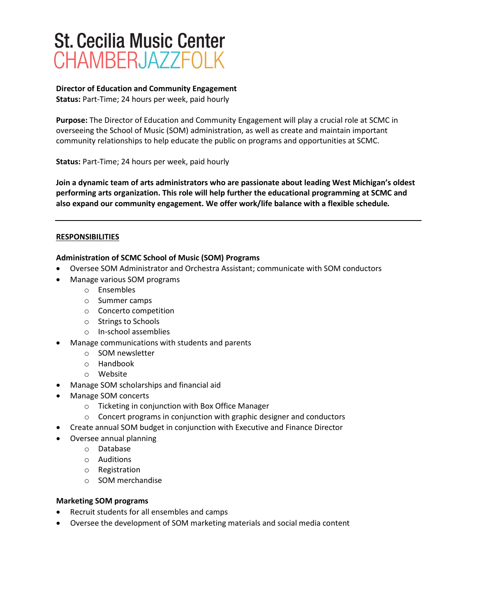## **St. Cecilia Music Center** CHAMBERJAZZFOLK

## **Director of Education and Community Engagement Status:** Part-Time; 24 hours per week, paid hourly

**Purpose:** The Director of Education and Community Engagement will play a crucial role at SCMC in overseeing the School of Music (SOM) administration, as well as create and maintain important community relationships to help educate the public on programs and opportunities at SCMC.

**Status:** Part-Time; 24 hours per week, paid hourly

**Join a dynamic team of arts administrators who are passionate about leading West Michigan's oldest performing arts organization. This role will help further the educational programming at SCMC and also expand our community engagement. We offer work/life balance with a flexible schedule***.*

## **RESPONSIBILITIES**

## **Administration of SCMC School of Music (SOM) Programs**

- Oversee SOM Administrator and Orchestra Assistant; communicate with SOM conductors
- Manage various SOM programs
	- o Ensembles
	- o Summer camps
	- o Concerto competition
	- o Strings to Schools
	- o In-school assemblies
- Manage communications with students and parents
	- o SOM newsletter
	- o Handbook
	- o Website
- Manage SOM scholarships and financial aid
- Manage SOM concerts
	- o Ticketing in conjunction with Box Office Manager
	- o Concert programs in conjunction with graphic designer and conductors
- Create annual SOM budget in conjunction with Executive and Finance Director
- Oversee annual planning
	- o Database
	- o Auditions
	- o Registration
	- o SOM merchandise

#### **Marketing SOM programs**

- Recruit students for all ensembles and camps
- Oversee the development of SOM marketing materials and social media content